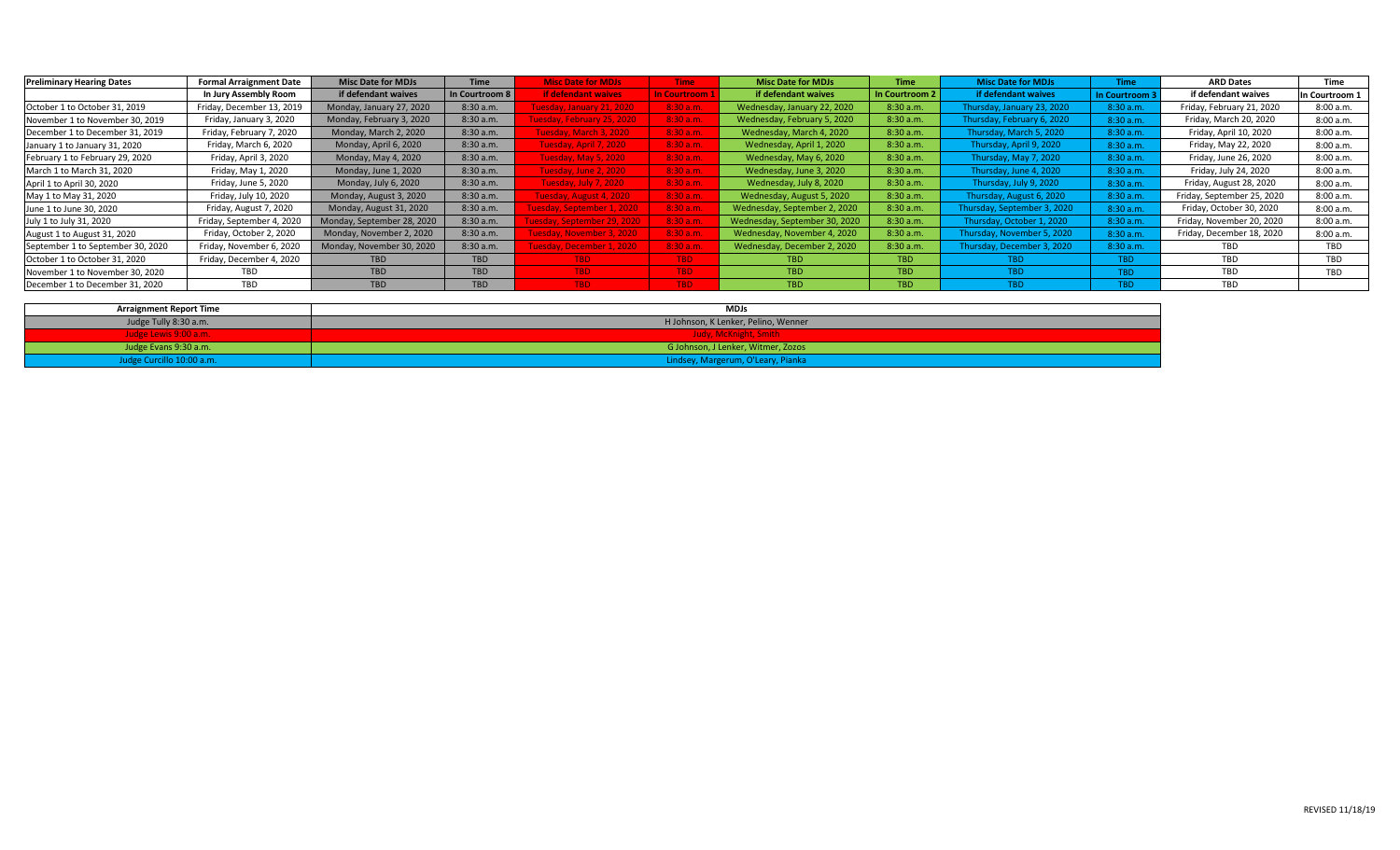| <b>Preliminary Hearing Dates</b>  | <b>Formal Arraignment Date</b> | <b>Misc Date for MDJs</b>  | <b>Time</b>    | <b>Misc Date for MDJs</b>  | <b>Time</b>  | <b>Misc Date for MDJs</b>     | Time           | <b>Misc Date for MDJs</b>   | Time           | <b>ARD Dates</b>           | Time          |
|-----------------------------------|--------------------------------|----------------------------|----------------|----------------------------|--------------|-------------------------------|----------------|-----------------------------|----------------|----------------------------|---------------|
|                                   | In Jury Assembly Room          | if defendant waives        | In Courtroom 8 | <b>if defendant waives</b> | In Courtroom | if defendant waives           | In Courtroom 2 | if defendant waives         | In Courtroom : | if defendant waives        | n Courtroom 1 |
| October 1 to October 31, 2019     | Friday, December 13, 2019      | Monday, January 27, 2020   | 8:30a.m.       | Tuesday, January 21, 2020  | 8:30 a.m.    | Wednesday, January 22, 2020   | 8:30 a.m.      | Thursday, January 23, 2020  | 8:30 a.m.      | Friday, February 21, 2020  | 8:00 a.m.     |
| November 1 to November 30, 2019   | Friday, January 3, 2020        | Monday, February 3, 2020   | 8:30a.m.       | uesday, February 25, 2020  | 8:30 a.m.    | Wednesday, February 5, 2020   | 8:30 a.m.      | Thursday, February 6, 2020  | 8:30 a.m.      | Friday, March 20, 2020     | 8:00 a.m.     |
| December 1 to December 31, 2019   | Friday, February 7, 2020       | Monday, March 2, 2020      | 8:30a.m.       | Tuesday, March 3, 2020     | 8:30 a.m.    | Wednesday, March 4, 2020      | 8:30 a.m       | Thursday, March 5, 2020     | 8:30 a.m.      | Friday, April 10, 2020     | 8:00 a.m.     |
| January 1 to January 31, 2020     | Friday, March 6, 2020          | Monday, April 6, 2020      | 8:30 a.m.      | Tuesday, April 7, 2020     | 8:30 a.m.    | Wednesday, April 1, 2020      | 8:30 a.m.      | Thursday, April 9, 2020     | 8:30 a.m.      | Friday, May 22, 2020       | 8:00 a.m.     |
| February 1 to February 29, 2020   | Friday, April 3, 2020          | Monday, May 4, 2020        | 8:30 a.m.      | Tuesday, May 5, 2020       | 8:30 a.m.    | Wednesday, May 6, 2020        | 8:30 a.m.      | Thursday, May 7, 2020       | 8:30 a.m.      | Friday, June 26, 2020      | 8:00 a.m.     |
| March 1 to March 31, 2020         | Friday, May 1, 2020            | Monday, June 1, 2020       | 8:30 a.m.      | Tuesday, June 2, 2020      | 8:30 a.m.    | Wednesday, June 3, 2020       | 8:30 a.m.      | Thursday, June 4, 2020      | 8:30 a.m.      | Friday, July 24, 2020      | 8:00a.m.      |
| April 1 to April 30, 2020         | Friday, June 5, 2020           | Monday, July 6, 2020       | 8:30 a.m.      | Tuesday, July 7, 2020      | 8:30 a.m.    | Wednesday, July 8, 2020       | 8:30 a.m.      | Thursday, July 9, 2020      | 8:30 a.m.      | Friday, August 28, 2020    | 8:00 a.m.     |
| May 1 to May 31, 2020             | Friday, July 10, 2020          | Monday, August 3, 2020     | 8:30a.m.       | Tuesday, August 4, 2020    | 8:30 a.m.    | Wednesday, August 5, 2020     | 8:30 a.m.      | Thursday, August 6, 2020    | 8:30 a.m.      | Friday, September 25, 2020 | 8:00 a.m.     |
| June 1 to June 30, 2020           | Friday, August 7, 2020         | Monday, August 31, 2020    | 8:30a.m.       | uesday, September 1, 2020  | 8:30 a.m.    | Wednesday, September 2, 2020  | 8:30 a.m.      | Thursday, September 3, 2020 | 8:30 a.m.      | Friday, October 30, 2020   | 8:00 a.m.     |
| July 1 to July 31, 2020           | Friday, September 4, 2020      | Monday, September 28, 2020 | 8:30 a.m.      | uesday, September 29, 2020 | 8:30 a.m.    | Wednesday, September 30, 2020 | 8:30 a.m.      | Thursday, October 1, 2020   | 8:30 a.m.      | Friday, November 20, 2020  | 8:00 a.m.     |
| August 1 to August 31, 2020       | Friday, October 2, 2020        | Monday, November 2, 2020   | 8:30 a.m.      | Tuesday, November 3, 2020  | 8:30 a.m.    | Wednesday, November 4, 2020   | 8:30 a.m.      | Thursday, November 5, 2020  | 8:30 a.m.      | Friday, December 18, 2020  | 8:00a.m.      |
| September 1 to September 30, 2020 | Friday, November 6, 2020       | Monday, November 30, 2020  | 8:30 a.m.      | Fuesday, December 1, 2020  | 8:30 a.m.    | Wednesday, December 2, 2020   | 8:30 a.m.      | Thursday, December 3, 2020  | 8:30 a.m.      | TBD.                       | TBD           |
| October 1 to October 31, 2020     | Friday, December 4, 2020       | <b>TBD</b>                 | <b>TBD</b>     | TBD.                       | TBD          | TBD                           | <b>TBD</b>     | TBD                         | TBD            | TBD                        | TBD           |
| November 1 to November 30, 2020   | <b>TBD</b>                     | <b>TBD</b>                 | <b>TBD</b>     | TBD.                       | TBD          | <b>TBD</b>                    | TBD.           | TBD.                        | TBD            | TBD                        | TBD           |
| December 1 to December 31, 2020   | TBD                            | <b>TBD</b>                 | <b>TBD</b>     | TBD.                       | TBD          | <b>TBD</b>                    | <b>TBD</b>     | TBD.                        | TBD.           | TBD                        |               |

| <b>Arraignment Report Time</b> | <b>MDJs</b>                         |
|--------------------------------|-------------------------------------|
| Judge Tully 8:30 a.m.          | H Johnson, K Lenker, Pelino, Wenner |
| <b>Judge Lewis 9:00 a.m.</b>   | Judy, McKnight, Smith               |
| Judge Evans 9:30 a.m.          | G Johnson, J Lenker, Witmer, Zozos  |
| Judge Curcillo 10:00 a.m.      | Lindsey, Margerum, O'Leary, Pianka  |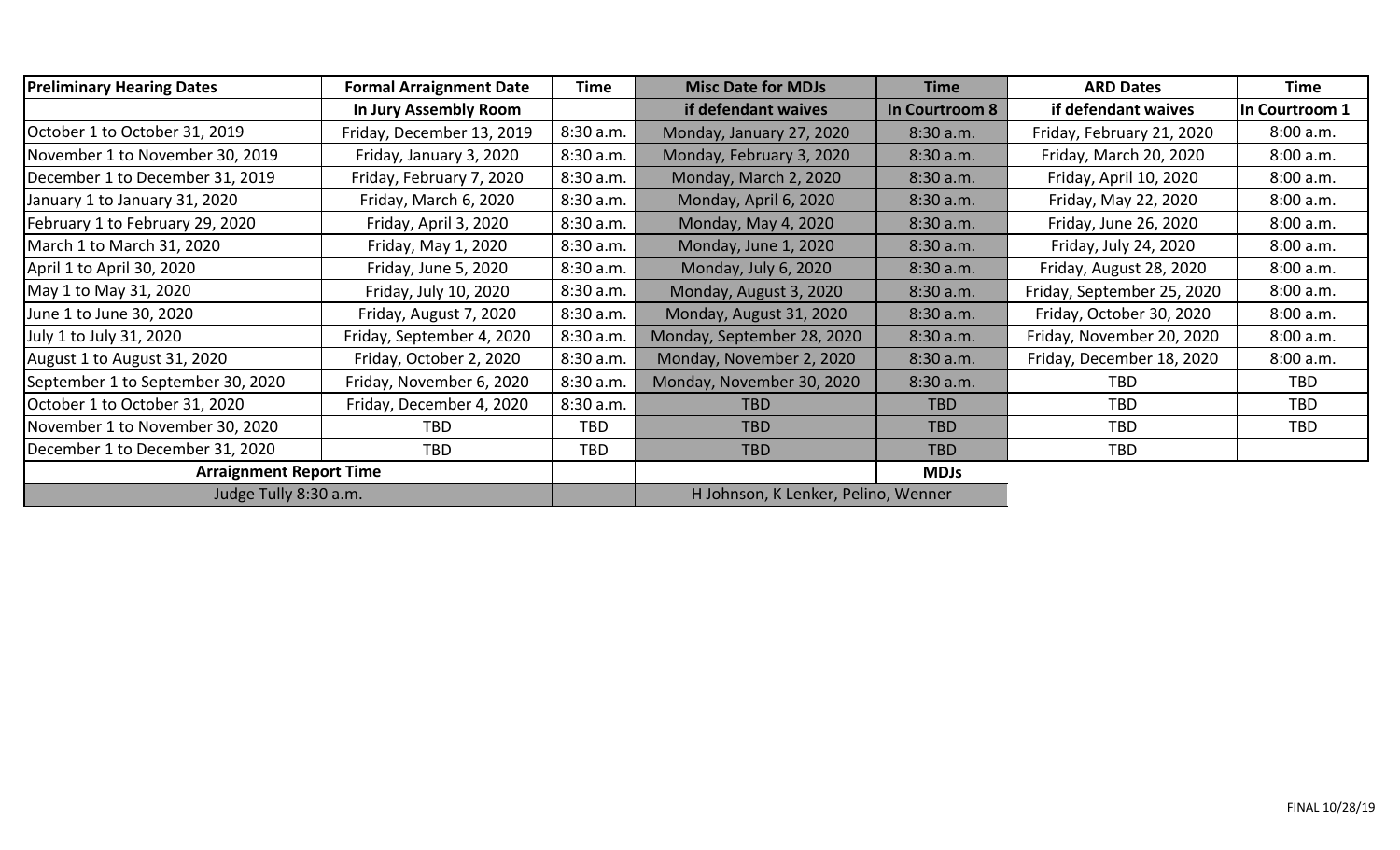| <b>Preliminary Hearing Dates</b>  | <b>Formal Arraignment Date</b>      | Time       | <b>Misc Date for MDJs</b>           | <b>Time</b>    | <b>ARD Dates</b>           | <b>Time</b>    |
|-----------------------------------|-------------------------------------|------------|-------------------------------------|----------------|----------------------------|----------------|
|                                   | In Jury Assembly Room               |            | if defendant waives                 | In Courtroom 8 | if defendant waives        | In Courtroom 1 |
| October 1 to October 31, 2019     | Friday, December 13, 2019           | 8:30 a.m.  | Monday, January 27, 2020            | 8:30 a.m.      | Friday, February 21, 2020  | 8:00 a.m.      |
| November 1 to November 30, 2019   | Friday, January 3, 2020<br>8:30a.m. |            | Monday, February 3, 2020            | 8:30 a.m.      | Friday, March 20, 2020     | 8:00 a.m.      |
| December 1 to December 31, 2019   | Friday, February 7, 2020            | 8:30 a.m.  | Monday, March 2, 2020               | 8:30 a.m.      | Friday, April 10, 2020     | 8:00 a.m.      |
| January 1 to January 31, 2020     | Friday, March 6, 2020               | 8:30a.m.   | Monday, April 6, 2020               | 8:30 a.m.      | Friday, May 22, 2020       | 8:00 a.m.      |
| February 1 to February 29, 2020   | Friday, April 3, 2020               | 8:30 a.m.  | Monday, May 4, 2020                 | 8:30 a.m.      | Friday, June 26, 2020      | 8:00 a.m.      |
| March 1 to March 31, 2020         | Friday, May 1, 2020                 | 8:30 a.m.  | Monday, June 1, 2020                | 8:30 a.m.      | Friday, July 24, 2020      | 8:00 a.m.      |
| April 1 to April 30, 2020         | Friday, June 5, 2020                | 8:30 a.m.  | Monday, July 6, 2020                | 8:30 a.m.      | Friday, August 28, 2020    | 8:00 a.m.      |
| May 1 to May 31, 2020             | Friday, July 10, 2020               | 8:30 a.m.  | Monday, August 3, 2020              | 8:30 a.m.      | Friday, September 25, 2020 | 8:00 a.m.      |
| June 1 to June 30, 2020           | Friday, August 7, 2020              | 8:30a.m.   | Monday, August 31, 2020             | 8:30 a.m.      | Friday, October 30, 2020   | 8:00 a.m.      |
| July 1 to July 31, 2020           | Friday, September 4, 2020           | 8:30 a.m.  | Monday, September 28, 2020          | 8:30 a.m.      | Friday, November 20, 2020  | 8:00 a.m.      |
| August 1 to August 31, 2020       | Friday, October 2, 2020             | 8:30 a.m.  | Monday, November 2, 2020            | 8:30 a.m.      | Friday, December 18, 2020  | 8:00 a.m.      |
| September 1 to September 30, 2020 | Friday, November 6, 2020            | 8:30 a.m.  | Monday, November 30, 2020           | 8:30 a.m.      | <b>TBD</b>                 | TBD            |
| October 1 to October 31, 2020     | Friday, December 4, 2020            | 8:30 a.m.  | <b>TBD</b>                          | <b>TBD</b>     | <b>TBD</b>                 | TBD            |
| November 1 to November 30, 2020   | <b>TBD</b>                          | <b>TBD</b> | <b>TBD</b>                          | <b>TBD</b>     | TBD                        | TBD            |
| December 1 to December 31, 2020   | TBD                                 | <b>TBD</b> | <b>TBD</b>                          | <b>TBD</b>     | TBD                        |                |
| <b>Arraignment Report Time</b>    |                                     |            |                                     | <b>MDJs</b>    |                            |                |
| Judge Tully 8:30 a.m.             |                                     |            | H Johnson, K Lenker, Pelino, Wenner |                |                            |                |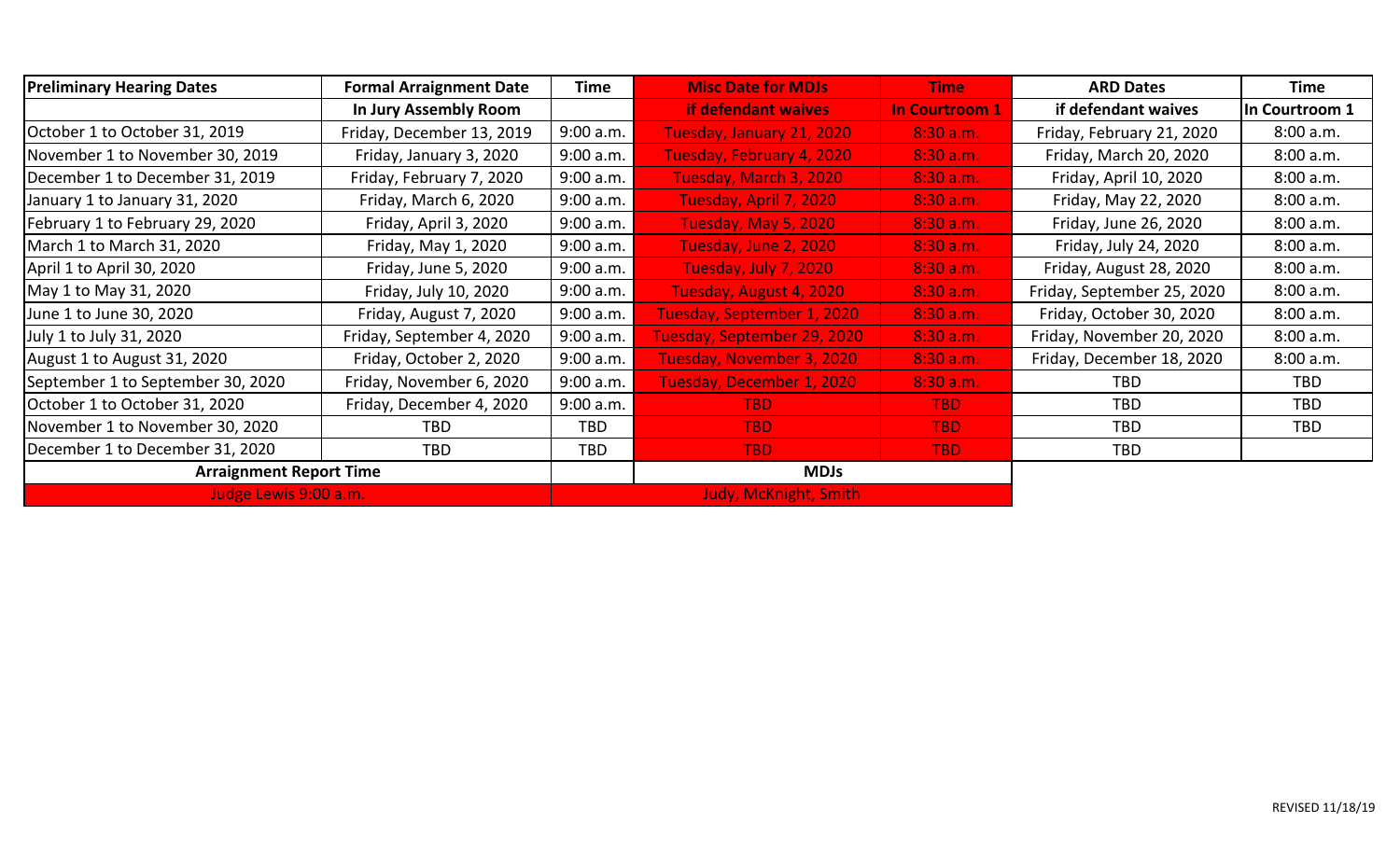| <b>Preliminary Hearing Dates</b>  | <b>Formal Arraignment Date</b> | Time       | <b>Misc Date for MDJs</b>    | <b>Time</b>           | <b>ARD Dates</b>           | Time           |
|-----------------------------------|--------------------------------|------------|------------------------------|-----------------------|----------------------------|----------------|
|                                   | In Jury Assembly Room          |            | <b>if defendant waives</b>   | <b>In Courtroom 1</b> | if defendant waives        | In Courtroom 1 |
| October 1 to October 31, 2019     | Friday, December 13, 2019      | 9:00 a.m.  | Tuesday, January 21, 2020    | 8:30a.m.              | Friday, February 21, 2020  | 8:00 a.m.      |
| November 1 to November 30, 2019   | Friday, January 3, 2020        | 9:00 a.m.  | Tuesday, February 4, 2020    | 8:30 a.m.             | Friday, March 20, 2020     | 8:00 a.m.      |
| December 1 to December 31, 2019   | Friday, February 7, 2020       | 9:00 a.m.  | Tuesday, March 3, 2020       | 8:30 a.m.             | Friday, April 10, 2020     | 8:00 a.m.      |
| January 1 to January 31, 2020     | Friday, March 6, 2020          | 9:00 a.m.  | Tuesday, April 7, 2020       | 8:30 a.m.             | Friday, May 22, 2020       | 8:00 a.m.      |
| February 1 to February 29, 2020   | Friday, April 3, 2020          | 9:00 a.m.  | Tuesday, May 5, 2020         | 8:30 a.m.             | Friday, June 26, 2020      | 8:00 a.m.      |
| March 1 to March 31, 2020         | Friday, May 1, 2020            | 9:00 a.m.  | Tuesday, June 2, 2020        | 8:30 a.m.             | Friday, July 24, 2020      | 8:00 a.m.      |
| April 1 to April 30, 2020         | Friday, June 5, 2020           | 9:00 a.m.  | Tuesday, July 7, 2020        | 8:30 a.m.             | Friday, August 28, 2020    | 8:00 a.m.      |
| May 1 to May 31, 2020             | Friday, July 10, 2020          | 9:00 a.m.  | Tuesday, August 4, 2020      | 8:30 a.m.             | Friday, September 25, 2020 | 8:00 a.m.      |
| June 1 to June 30, 2020           | Friday, August 7, 2020         | 9:00 a.m.  | Tuesday, September 1, 2020   | 8:30 a.m.             | Friday, October 30, 2020   | 8:00 a.m.      |
| July 1 to July 31, 2020           | Friday, September 4, 2020      | 9:00 a.m.  | Tuesday, September 29, 2020  | 8:30 a.m.             | Friday, November 20, 2020  | 8:00 a.m.      |
| August 1 to August 31, 2020       | Friday, October 2, 2020        | 9:00 a.m.  | Tuesday, November 3, 2020    | 8:30 a.m.             | Friday, December 18, 2020  | 8:00 a.m.      |
| September 1 to September 30, 2020 | Friday, November 6, 2020       | 9:00 a.m.  | Tuesday, December 1, 2020    | 8:30 a.m.             | TBD                        | TBD.           |
| October 1 to October 31, 2020     | Friday, December 4, 2020       | 9:00 a.m.  | TBD.                         | TBD.                  | TBD                        | <b>TBD</b>     |
| November 1 to November 30, 2020   | TBD                            | <b>TBD</b> | <b>TBD</b>                   | <b>TBD</b>            | <b>TBD</b>                 | <b>TBD</b>     |
| December 1 to December 31, 2020   | TBD                            | TBD        | <b>TBD</b>                   | <b>TBD</b>            | TBD                        |                |
| <b>Arraignment Report Time</b>    |                                |            | <b>MDJs</b>                  |                       |                            |                |
| Judge Lewis 9:00 a.m.             |                                |            | <b>Judy, McKnight, Smith</b> |                       |                            |                |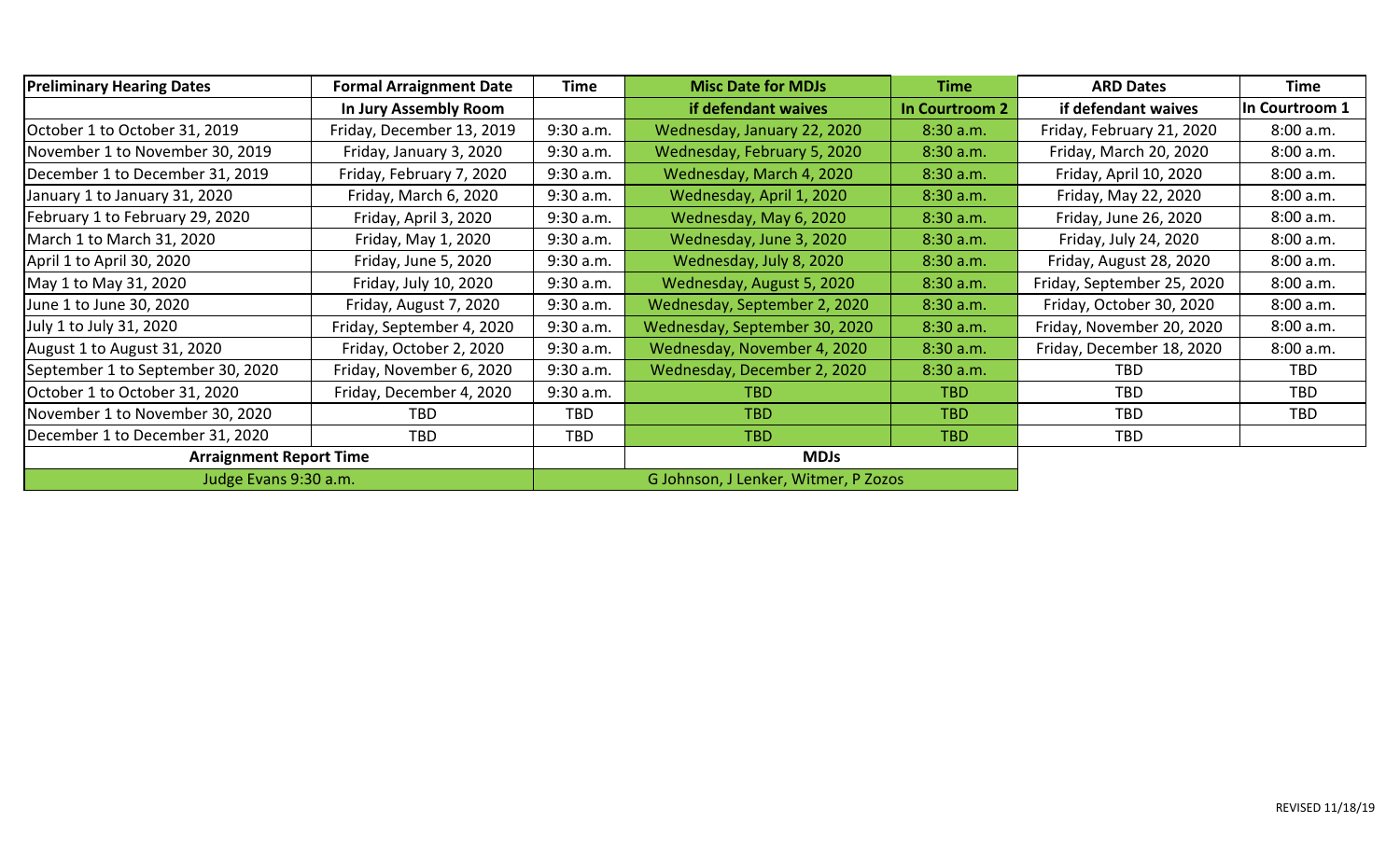| <b>Preliminary Hearing Dates</b><br><b>Formal Arraignment Date</b> |                           | <b>Time</b> | <b>Misc Date for MDJs</b>            | <b>Time</b>    | <b>ARD Dates</b>           | <b>Time</b>    |
|--------------------------------------------------------------------|---------------------------|-------------|--------------------------------------|----------------|----------------------------|----------------|
|                                                                    | In Jury Assembly Room     |             | if defendant waives                  | In Courtroom 2 | if defendant waives        | In Courtroom 1 |
| October 1 to October 31, 2019                                      | Friday, December 13, 2019 | 9:30 a.m.   | Wednesday, January 22, 2020          | 8:30 a.m.      | Friday, February 21, 2020  | 8:00 a.m.      |
| November 1 to November 30, 2019                                    | Friday, January 3, 2020   | 9:30 a.m.   | Wednesday, February 5, 2020          | 8:30 a.m.      | Friday, March 20, 2020     | 8:00 a.m.      |
| December 1 to December 31, 2019                                    | Friday, February 7, 2020  | 9:30 a.m.   | Wednesday, March 4, 2020             | 8:30 a.m.      | Friday, April 10, 2020     | 8:00 a.m.      |
| January 1 to January 31, 2020                                      | Friday, March 6, 2020     | 9:30 a.m.   | Wednesday, April 1, 2020             | 8:30 a.m.      | Friday, May 22, 2020       | 8:00 a.m.      |
| February 1 to February 29, 2020                                    | Friday, April 3, 2020     | 9:30 a.m.   | Wednesday, May 6, 2020               | 8:30 a.m.      | Friday, June 26, 2020      | 8:00 a.m.      |
| March 1 to March 31, 2020                                          | Friday, May 1, 2020       | 9:30 a.m.   | Wednesday, June 3, 2020              | 8:30 a.m.      | Friday, July 24, 2020      | 8:00 a.m.      |
| April 1 to April 30, 2020                                          | Friday, June 5, 2020      | 9:30 a.m.   | Wednesday, July 8, 2020              | 8:30 a.m.      | Friday, August 28, 2020    | 8:00 a.m.      |
| May 1 to May 31, 2020                                              | Friday, July 10, 2020     | 9:30 a.m.   | Wednesday, August 5, 2020            | 8:30 a.m.      | Friday, September 25, 2020 | 8:00 a.m.      |
| June 1 to June 30, 2020                                            | Friday, August 7, 2020    | 9:30 a.m.   | Wednesday, September 2, 2020         | 8:30 a.m.      | Friday, October 30, 2020   | 8:00 a.m.      |
| July 1 to July 31, 2020                                            | Friday, September 4, 2020 | 9:30 a.m.   | Wednesday, September 30, 2020        | 8:30 a.m.      | Friday, November 20, 2020  | 8:00 a.m.      |
| August 1 to August 31, 2020                                        | Friday, October 2, 2020   | 9:30 a.m.   | Wednesday, November 4, 2020          | 8:30 a.m.      | Friday, December 18, 2020  | 8:00 a.m.      |
| September 1 to September 30, 2020                                  | Friday, November 6, 2020  | 9:30 a.m.   | Wednesday, December 2, 2020          | 8:30 a.m.      | <b>TBD</b>                 | TBD            |
| October 1 to October 31, 2020                                      | Friday, December 4, 2020  | 9:30 a.m.   | TBD.                                 | TBD.           | <b>TBD</b>                 | <b>TBD</b>     |
| November 1 to November 30, 2020                                    | TBD                       | <b>TBD</b>  | TBD.                                 | <b>TBD</b>     | <b>TBD</b>                 | <b>TBD</b>     |
| December 1 to December 31, 2020                                    | <b>TBD</b>                | <b>TBD</b>  | <b>TBD</b>                           | <b>TBD</b>     | <b>TBD</b>                 |                |
| <b>Arraignment Report Time</b>                                     |                           | <b>MDJs</b> |                                      |                |                            |                |
| Judge Evans 9:30 a.m.                                              |                           |             | G Johnson, J Lenker, Witmer, P Zozos |                |                            |                |